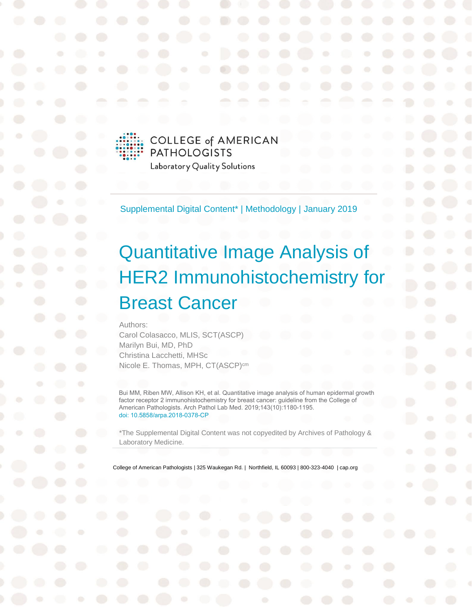

Supplemental Digital Content\* | Methodology | January 2019

# Quantitative Image Analysis of HER2 Immunohistochemistry for Breast Cancer

Authors:

Carol Colasacco, MLIS, SCT(ASCP) Marilyn Bui, MD, PhD Christina Lacchetti, MHSc Nicole E. Thomas, MPH, CT(ASCP)<sup>cm</sup>

Bui MM, Riben MW, Allison KH, et al. Quantitative image analysis of human epidermal growth factor receptor 2 immunohistochemistry for breast cancer: guideline from the College of American Pathologists. Arch Pathol Lab Med. 2019;143(10):1180-1195. [doi: 10.5858/arpa.2018-0378-CP](https://www.archivesofpathology.org/doi/pdf/10.5858/arpa.2018-0378-CP)

\*The Supplemental Digital Content was not copyedited by Archives of Pathology & Laboratory Medicine.

College of American Pathologists | 325 Waukegan Rd. | Northfield, IL 60093 | 800-323-4040 | cap.org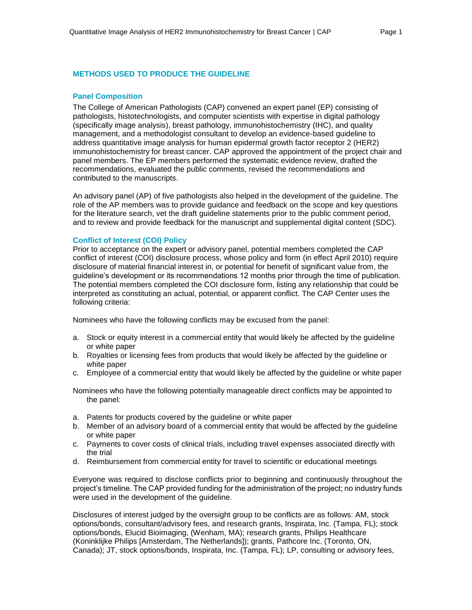# **METHODS USED TO PRODUCE THE GUIDELINE**

#### **Panel Composition**

The College of American Pathologists (CAP) convened an expert panel (EP) consisting of pathologists, histotechnologists, and computer scientists with expertise in digital pathology (specifically image analysis), breast pathology, immunohistochemistry (IHC), and quality management, and a methodologist consultant to develop an evidence-based guideline to address quantitative image analysis for human epidermal growth factor receptor 2 (HER2) immunohistochemistry for breast cancer. CAP approved the appointment of the project chair and panel members. The EP members performed the systematic evidence review, drafted the recommendations, evaluated the public comments, revised the recommendations and contributed to the manuscripts.

An advisory panel (AP) of five pathologists also helped in the development of the guideline. The role of the AP members was to provide guidance and feedback on the scope and key questions for the literature search, vet the draft guideline statements prior to the public comment period, and to review and provide feedback for the manuscript and supplemental digital content (SDC).

#### **Conflict of Interest (COI) Policy**

Prior to acceptance on the expert or advisory panel, potential members completed the CAP conflict of interest (COI) disclosure process, whose policy and form (in effect April 2010) require disclosure of material financial interest in, or potential for benefit of significant value from, the guideline's development or its recommendations 12 months prior through the time of publication. The potential members completed the COI disclosure form, listing any relationship that could be interpreted as constituting an actual, potential, or apparent conflict. The CAP Center uses the following criteria:

Nominees who have the following conflicts may be excused from the panel:

- a. Stock or equity interest in a commercial entity that would likely be affected by the guideline or white paper
- b. Royalties or licensing fees from products that would likely be affected by the guideline or white paper
- c. Employee of a commercial entity that would likely be affected by the guideline or white paper

Nominees who have the following potentially manageable direct conflicts may be appointed to the panel:

- a. Patents for products covered by the guideline or white paper
- b. Member of an advisory board of a commercial entity that would be affected by the guideline or white paper
- c. Payments to cover costs of clinical trials, including travel expenses associated directly with the trial
- d. Reimbursement from commercial entity for travel to scientific or educational meetings

Everyone was required to disclose conflicts prior to beginning and continuously throughout the project's timeline. The CAP provided funding for the administration of the project; no industry funds were used in the development of the guideline.

Disclosures of interest judged by the oversight group to be conflicts are as follows: AM, stock options/bonds, consultant/advisory fees, and research grants, Inspirata, Inc. (Tampa, FL); stock options/bonds, Elucid Bioimaging, (Wenham, MA); research grants, Philips Healthcare (Koninklijke Philips [Amsterdam, The Netherlands]); grants, Pathcore Inc. (Toronto, ON, Canada); JT, stock options/bonds, Inspirata, Inc. (Tampa, FL); LP, consulting or advisory fees,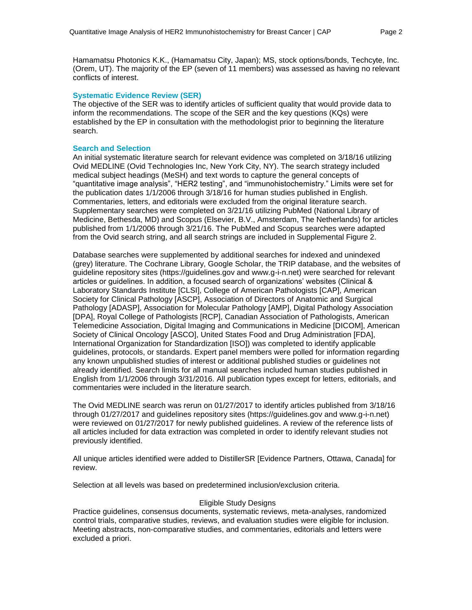Hamamatsu Photonics K.K., (Hamamatsu City, Japan); MS, stock options/bonds, Techcyte, Inc. (Orem, UT). The majority of the EP (seven of 11 members) was assessed as having no relevant conflicts of interest.

#### **Systematic Evidence Review (SER)**

The objective of the SER was to identify articles of sufficient quality that would provide data to inform the recommendations. The scope of the SER and the key questions (KQs) were established by the EP in consultation with the methodologist prior to beginning the literature search.

#### **Search and Selection**

An initial systematic literature search for relevant evidence was completed on 3/18/16 utilizing Ovid MEDLINE (Ovid Technologies Inc, New York City, NY). The search strategy included medical subject headings (MeSH) and text words to capture the general concepts of "quantitative image analysis", "HER2 testing", and "immunohistochemistry." Limits were set for the publication dates 1/1/2006 through 3/18/16 for human studies published in English. Commentaries, letters, and editorials were excluded from the original literature search. Supplementary searches were completed on 3/21/16 utilizing PubMed (National Library of Medicine, Bethesda, MD) and Scopus (Elsevier, B.V., Amsterdam, The Netherlands) for articles published from 1/1/2006 through 3/21/16. The PubMed and Scopus searches were adapted from the Ovid search string, and all search strings are included in Supplemental Figure 2.

Database searches were supplemented by additional searches for indexed and unindexed (grey) literature. The Cochrane Library, Google Scholar, the TRIP database, and the websites of guideline repository sites (https://guidelines.gov and www.g-i-n.net) were searched for relevant articles or guidelines. In addition, a focused search of organizations' websites (Clinical & Laboratory Standards Institute [CLSI], College of American Pathologists [CAP], American Society for Clinical Pathology [ASCP], Association of Directors of Anatomic and Surgical Pathology [ADASP], Association for Molecular Pathology [AMP], Digital Pathology Association [DPA], Royal College of Pathologists [RCP], Canadian Association of Pathologists, American Telemedicine Association, Digital Imaging and Communications in Medicine [DICOM], American Society of Clinical Oncology [ASCO], United States Food and Drug Administration [FDA], International Organization for Standardization [ISO]) was completed to identify applicable guidelines, protocols, or standards. Expert panel members were polled for information regarding any known unpublished studies of interest or additional published studies or guidelines not already identified. Search limits for all manual searches included human studies published in English from 1/1/2006 through 3/31/2016. All publication types except for letters, editorials, and commentaries were included in the literature search.

The Ovid MEDLINE search was rerun on 01/27/2017 to identify articles published from 3/18/16 through 01/27/2017 and guidelines repository sites (https://guidelines.gov and www.g-i-n.net) were reviewed on 01/27/2017 for newly published guidelines. A review of the reference lists of all articles included for data extraction was completed in order to identify relevant studies not previously identified.

All unique articles identified were added to DistillerSR [Evidence Partners, Ottawa, Canada] for review.

Selection at all levels was based on predetermined inclusion/exclusion criteria.

#### Eligible Study Designs

Practice guidelines, consensus documents, systematic reviews, meta-analyses, randomized control trials, comparative studies, reviews, and evaluation studies were eligible for inclusion. Meeting abstracts, non-comparative studies, and commentaries, editorials and letters were excluded a priori.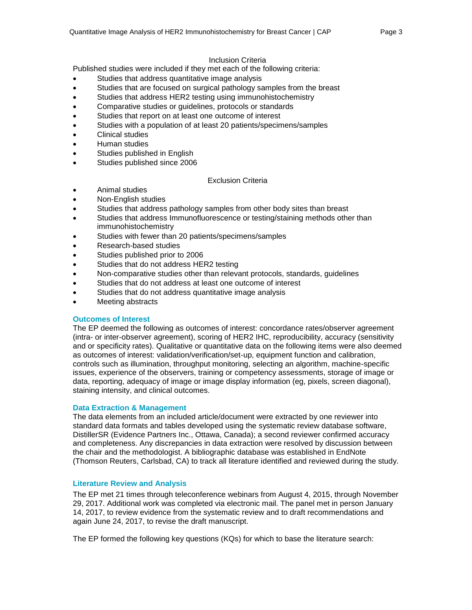#### Inclusion Criteria

Published studies were included if they met each of the following criteria:

- Studies that address quantitative image analysis
- Studies that are focused on surgical pathology samples from the breast
- Studies that address HER2 testing using immunohistochemistry
- Comparative studies or guidelines, protocols or standards
- Studies that report on at least one outcome of interest
- Studies with a population of at least 20 patients/specimens/samples
- Clinical studies
- Human studies
- Studies published in English
- Studies published since 2006

# Exclusion Criteria

- Animal studies
- Non-English studies
- Studies that address pathology samples from other body sites than breast
- Studies that address Immunofluorescence or testing/staining methods other than immunohistochemistry
- Studies with fewer than 20 patients/specimens/samples
- Research-based studies
- Studies published prior to 2006
- Studies that do not address HER2 testing
- Non-comparative studies other than relevant protocols, standards, guidelines
- Studies that do not address at least one outcome of interest
- Studies that do not address quantitative image analysis
- Meeting abstracts

# **Outcomes of Interest**

The EP deemed the following as outcomes of interest: concordance rates/observer agreement (intra- or inter-observer agreement), scoring of HER2 IHC, reproducibility, accuracy (sensitivity and or specificity rates). Qualitative or quantitative data on the following items were also deemed as outcomes of interest: validation/verification/set-up, equipment function and calibration, controls such as illumination, throughput monitoring, selecting an algorithm, machine-specific issues, experience of the observers, training or competency assessments, storage of image or data, reporting, adequacy of image or image display information (eg, pixels, screen diagonal), staining intensity, and clinical outcomes.

#### **Data Extraction & Management**

The data elements from an included article/document were extracted by one reviewer into standard data formats and tables developed using the systematic review database software, DistillerSR (Evidence Partners Inc., Ottawa, Canada); a second reviewer confirmed accuracy and completeness. Any discrepancies in data extraction were resolved by discussion between the chair and the methodologist. A bibliographic database was established in EndNote (Thomson Reuters, Carlsbad, CA) to track all literature identified and reviewed during the study.

#### **Literature Review and Analysis**

The EP met 21 times through teleconference webinars from August 4, 2015, through November 29, 2017. Additional work was completed via electronic mail. The panel met in person January 14, 2017, to review evidence from the systematic review and to draft recommendations and again June 24, 2017, to revise the draft manuscript.

The EP formed the following key questions (KQs) for which to base the literature search: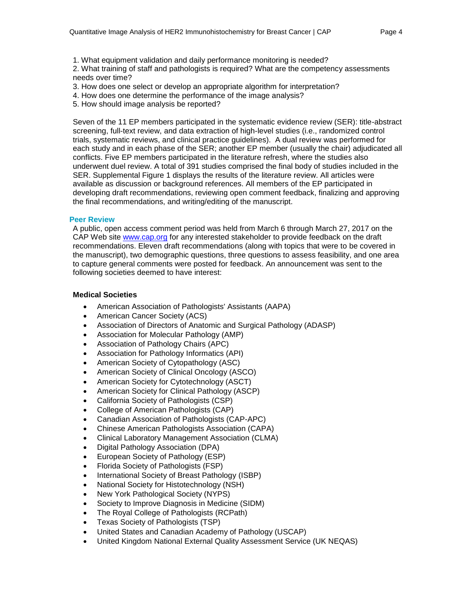1. What equipment validation and daily performance monitoring is needed?

2. What training of staff and pathologists is required? What are the competency assessments needs over time?

- 3. How does one select or develop an appropriate algorithm for interpretation?
- 4. How does one determine the performance of the image analysis?
- 5. How should image analysis be reported?

Seven of the 11 EP members participated in the systematic evidence review (SER): title-abstract screening, full-text review, and data extraction of high-level studies (i.e., randomized control trials, systematic reviews, and clinical practice guidelines). A dual review was performed for each study and in each phase of the SER; another EP member (usually the chair) adjudicated all conflicts. Five EP members participated in the literature refresh, where the studies also underwent duel review. A total of 391 studies comprised the final body of studies included in the SER. Supplemental Figure 1 displays the results of the literature review. All articles were available as discussion or background references. All members of the EP participated in developing draft recommendations, reviewing open comment feedback, finalizing and approving the final recommendations, and writing/editing of the manuscript.

#### **Peer Review**

A public, open access comment period was held from March 6 through March 27, 2017 on the CAP Web site [www.cap.org](http://www.cap.org/) for any interested stakeholder to provide feedback on the draft recommendations. Eleven draft recommendations (along with topics that were to be covered in the manuscript), two demographic questions, three questions to assess feasibility, and one area to capture general comments were posted for feedback. An announcement was sent to the following societies deemed to have interest:

#### **Medical Societies**

- American Association of Pathologists' Assistants (AAPA)
- American Cancer Society (ACS)
- Association of Directors of Anatomic and Surgical Pathology (ADASP)
- Association for Molecular Pathology (AMP)
- Association of Pathology Chairs (APC)
- Association for Pathology Informatics (API)
- American Society of Cytopathology (ASC)
- American Society of Clinical Oncology (ASCO)
- American Society for Cytotechnology (ASCT)
- American Society for Clinical Pathology (ASCP)
- California Society of Pathologists (CSP)
- College of American Pathologists (CAP)
- Canadian Association of Pathologists (CAP-APC)
- Chinese American Pathologists Association (CAPA)
- Clinical Laboratory Management Association (CLMA)
- Digital Pathology Association (DPA)
- European Society of Pathology (ESP)
- Florida Society of Pathologists (FSP)
- International Society of Breast Pathology (ISBP)
- National Society for Histotechnology (NSH)
- New York Pathological Society (NYPS)
- Society to Improve Diagnosis in Medicine (SIDM)
- The Royal College of Pathologists (RCPath)
- Texas Society of Pathologists (TSP)
- United States and Canadian Academy of Pathology (USCAP)
- United Kingdom National External Quality Assessment Service (UK NEQAS)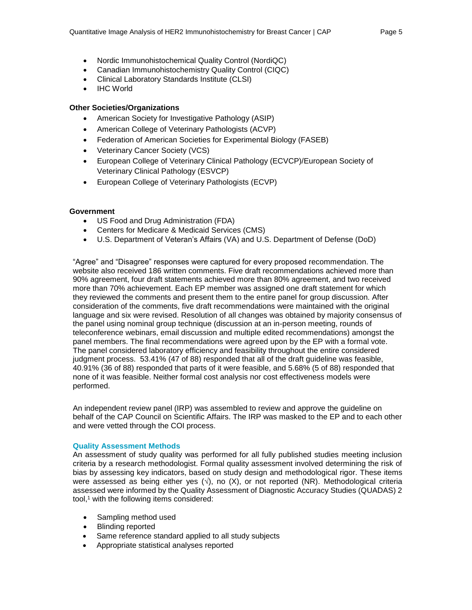- Nordic Immunohistochemical Quality Control (NordiQC)
- Canadian Immunohistochemistry Quality Control (CIQC)
- Clinical Laboratory Standards Institute (CLSI)
- IHC World

#### **Other Societies/Organizations**

- American Society for Investigative Pathology (ASIP)
- American College of Veterinary Pathologists (ACVP)
- Federation of American Societies for Experimental Biology (FASEB)
- Veterinary Cancer Society (VCS)
- European College of Veterinary Clinical Pathology (ECVCP)/European Society of Veterinary Clinical Pathology (ESVCP)
- European College of Veterinary Pathologists (ECVP)

#### **Government**

- US Food and Drug Administration (FDA)
- Centers for Medicare & Medicaid Services (CMS)
- U.S. Department of Veteran's Affairs (VA) and U.S. Department of Defense (DoD)

"Agree" and "Disagree" responses were captured for every proposed recommendation. The website also received 186 written comments. Five draft recommendations achieved more than 90% agreement, four draft statements achieved more than 80% agreement, and two received more than 70% achievement. Each EP member was assigned one draft statement for which they reviewed the comments and present them to the entire panel for group discussion. After consideration of the comments, five draft recommendations were maintained with the original language and six were revised. Resolution of all changes was obtained by majority consensus of the panel using nominal group technique (discussion at an in-person meeting, rounds of teleconference webinars, email discussion and multiple edited recommendations) amongst the panel members. The final recommendations were agreed upon by the EP with a formal vote. The panel considered laboratory efficiency and feasibility throughout the entire considered judgment process. 53.41% (47 of 88) responded that all of the draft guideline was feasible, 40.91% (36 of 88) responded that parts of it were feasible, and 5.68% (5 of 88) responded that none of it was feasible. Neither formal cost analysis nor cost effectiveness models were performed.

An independent review panel (IRP) was assembled to review and approve the guideline on behalf of the CAP Council on Scientific Affairs. The IRP was masked to the EP and to each other and were vetted through the COI process.

#### **Quality Assessment Methods**

An assessment of study quality was performed for all fully published studies meeting inclusion criteria by a research methodologist. Formal quality assessment involved determining the risk of bias by assessing key indicators, based on study design and methodological rigor. These items were assessed as being either yes  $(\sqrt{)}$ , no  $(X)$ , or not reported (NR). Methodological criteria assessed were informed by the Quality Assessment of Diagnostic Accuracy Studies (QUADAS) 2 tool, <sup>1</sup> with the following items considered:

- Sampling method used
- Blinding reported
- Same reference standard applied to all study subjects
- Appropriate statistical analyses reported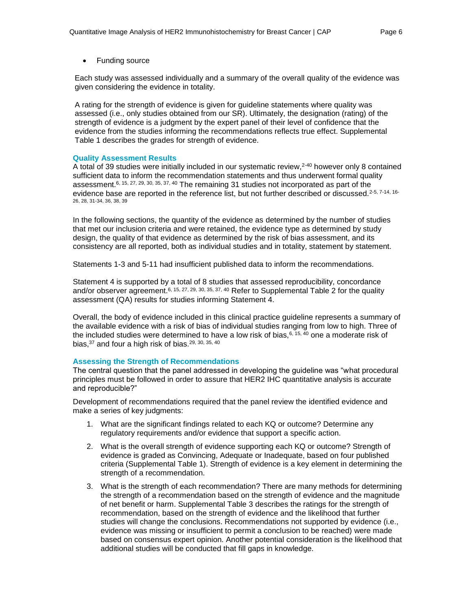• Funding source

Each study was assessed individually and a summary of the overall quality of the evidence was given considering the evidence in totality.

A rating for the strength of evidence is given for guideline statements where quality was assessed (i.e., only studies obtained from our SR). Ultimately, the designation (rating) of the strength of evidence is a judgment by the expert panel of their level of confidence that the evidence from the studies informing the recommendations reflects true effect. Supplemental Table 1 describes the grades for strength of evidence.

#### **Quality Assessment Results**

A total of 39 studies were initially included in our systematic review,2-40 however only 8 contained sufficient data to inform the recommendation statements and thus underwent formal quality assessment.6, 15, 27, 29, 30, 35, 37, 40 The remaining 31 studies not incorporated as part of the evidence base are reported in the reference list, but not further described or discussed.<sup>2-5, 7-14, 16-</sup> 26, 28, 31-34, 36, 38, 39

In the following sections, the quantity of the evidence as determined by the number of studies that met our inclusion criteria and were retained, the evidence type as determined by study design, the quality of that evidence as determined by the risk of bias assessment, and its consistency are all reported, both as individual studies and in totality, statement by statement.

Statements 1-3 and 5-11 had insufficient published data to inform the recommendations.

Statement 4 is supported by a total of 8 studies that assessed reproducibility, concordance and/or observer agreement.<sup>6, 15, 27, 29, 30, 35, 37, 40</sup> Refer to Supplemental Table 2 for the quality assessment (QA) results for studies informing Statement 4.

Overall, the body of evidence included in this clinical practice guideline represents a summary of the available evidence with a risk of bias of individual studies ranging from low to high. Three of the included studies were determined to have a low risk of bias,  $6, 15, 40$  one a moderate risk of bias,  $37$  and four a high risk of bias.  $29, 30, 35, 40$ 

#### **Assessing the Strength of Recommendations**

The central question that the panel addressed in developing the guideline was "what procedural principles must be followed in order to assure that HER2 IHC quantitative analysis is accurate and reproducible?"

Development of recommendations required that the panel review the identified evidence and make a series of key judgments:

- 1. What are the significant findings related to each KQ or outcome? Determine any regulatory requirements and/or evidence that support a specific action.
- 2. What is the overall strength of evidence supporting each KQ or outcome? Strength of evidence is graded as Convincing, Adequate or Inadequate, based on four published criteria (Supplemental Table 1). Strength of evidence is a key element in determining the strength of a recommendation.
- 3. What is the strength of each recommendation? There are many methods for determining the strength of a recommendation based on the strength of evidence and the magnitude of net benefit or harm. Supplemental Table 3 describes the ratings for the strength of recommendation, based on the strength of evidence and the likelihood that further studies will change the conclusions. Recommendations not supported by evidence (i.e., evidence was missing or insufficient to permit a conclusion to be reached) were made based on consensus expert opinion. Another potential consideration is the likelihood that additional studies will be conducted that fill gaps in knowledge.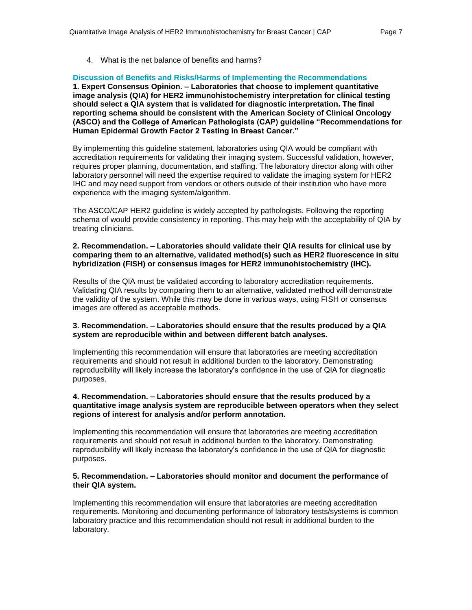4. What is the net balance of benefits and harms?

#### **Discussion of Benefits and Risks/Harms of Implementing the Recommendations**

**1. Expert Consensus Opinion. – Laboratories that choose to implement quantitative image analysis (QIA) for HER2 immunohistochemistry interpretation for clinical testing should select a QIA system that is validated for diagnostic interpretation. The final reporting schema should be consistent with the American Society of Clinical Oncology (ASCO) and the College of American Pathologists (CAP) guideline "Recommendations for Human Epidermal Growth Factor 2 Testing in Breast Cancer."**

By implementing this guideline statement, laboratories using QIA would be compliant with accreditation requirements for validating their imaging system. Successful validation, however, requires proper planning, documentation, and staffing. The laboratory director along with other laboratory personnel will need the expertise required to validate the imaging system for HER2 IHC and may need support from vendors or others outside of their institution who have more experience with the imaging system/algorithm.

The ASCO/CAP HER2 guideline is widely accepted by pathologists. Following the reporting schema of would provide consistency in reporting. This may help with the acceptability of QIA by treating clinicians.

#### **2. Recommendation. – Laboratories should validate their QIA results for clinical use by comparing them to an alternative, validated method(s) such as HER2 fluorescence in situ hybridization (FISH) or consensus images for HER2 immunohistochemistry (IHC).**

Results of the QIA must be validated according to laboratory accreditation requirements. Validating QIA results by comparing them to an alternative, validated method will demonstrate the validity of the system. While this may be done in various ways, using FISH or consensus images are offered as acceptable methods.

#### **3. Recommendation. – Laboratories should ensure that the results produced by a QIA system are reproducible within and between different batch analyses.**

Implementing this recommendation will ensure that laboratories are meeting accreditation requirements and should not result in additional burden to the laboratory. Demonstrating reproducibility will likely increase the laboratory's confidence in the use of QIA for diagnostic purposes.

#### **4. Recommendation. – Laboratories should ensure that the results produced by a quantitative image analysis system are reproducible between operators when they select regions of interest for analysis and/or perform annotation.**

Implementing this recommendation will ensure that laboratories are meeting accreditation requirements and should not result in additional burden to the laboratory. Demonstrating reproducibility will likely increase the laboratory's confidence in the use of QIA for diagnostic purposes.

#### **5. Recommendation. – Laboratories should monitor and document the performance of their QIA system.**

Implementing this recommendation will ensure that laboratories are meeting accreditation requirements. Monitoring and documenting performance of laboratory tests/systems is common laboratory practice and this recommendation should not result in additional burden to the laboratory.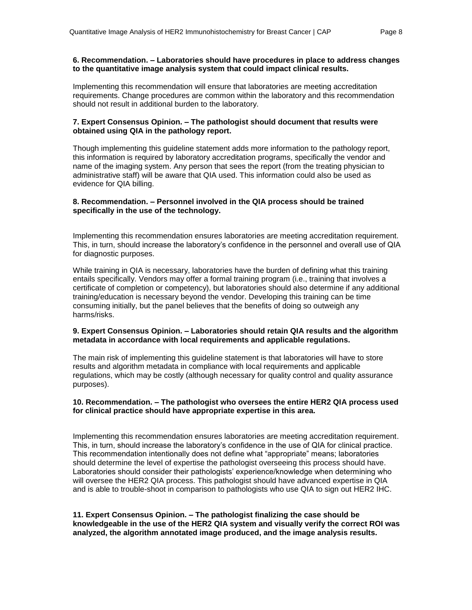#### **6. Recommendation. – Laboratories should have procedures in place to address changes to the quantitative image analysis system that could impact clinical results.**

Implementing this recommendation will ensure that laboratories are meeting accreditation requirements. Change procedures are common within the laboratory and this recommendation should not result in additional burden to the laboratory.

#### **7. Expert Consensus Opinion. – The pathologist should document that results were obtained using QIA in the pathology report.**

Though implementing this guideline statement adds more information to the pathology report, this information is required by laboratory accreditation programs, specifically the vendor and name of the imaging system. Any person that sees the report (from the treating physician to administrative staff) will be aware that QIA used. This information could also be used as evidence for QIA billing.

#### **8. Recommendation. – Personnel involved in the QIA process should be trained specifically in the use of the technology.**

Implementing this recommendation ensures laboratories are meeting accreditation requirement. This, in turn, should increase the laboratory's confidence in the personnel and overall use of QIA for diagnostic purposes.

While training in QIA is necessary, laboratories have the burden of defining what this training entails specifically. Vendors may offer a formal training program (i.e., training that involves a certificate of completion or competency), but laboratories should also determine if any additional training/education is necessary beyond the vendor. Developing this training can be time consuming initially, but the panel believes that the benefits of doing so outweigh any harms/risks.

#### **9. Expert Consensus Opinion. – Laboratories should retain QIA results and the algorithm metadata in accordance with local requirements and applicable regulations.**

The main risk of implementing this guideline statement is that laboratories will have to store results and algorithm metadata in compliance with local requirements and applicable regulations, which may be costly (although necessary for quality control and quality assurance purposes).

#### **10. Recommendation. – The pathologist who oversees the entire HER2 QIA process used for clinical practice should have appropriate expertise in this area.**

Implementing this recommendation ensures laboratories are meeting accreditation requirement. This, in turn, should increase the laboratory's confidence in the use of QIA for clinical practice. This recommendation intentionally does not define what "appropriate" means; laboratories should determine the level of expertise the pathologist overseeing this process should have. Laboratories should consider their pathologists' experience/knowledge when determining who will oversee the HER2 QIA process. This pathologist should have advanced expertise in QIA and is able to trouble-shoot in comparison to pathologists who use QIA to sign out HER2 IHC.

#### **11. Expert Consensus Opinion. – The pathologist finalizing the case should be knowledgeable in the use of the HER2 QIA system and visually verify the correct ROI was analyzed, the algorithm annotated image produced, and the image analysis results.**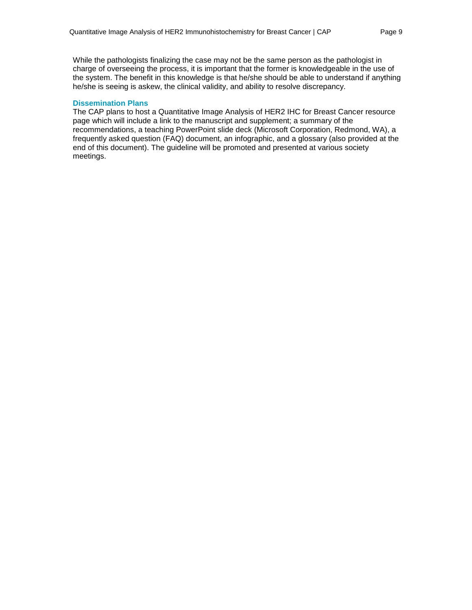While the pathologists finalizing the case may not be the same person as the pathologist in charge of overseeing the process, it is important that the former is knowledgeable in the use of the system. The benefit in this knowledge is that he/she should be able to understand if anything he/she is seeing is askew, the clinical validity, and ability to resolve discrepancy.

#### **Dissemination Plans**

The CAP plans to host a Quantitative Image Analysis of HER2 IHC for Breast Cancer resource page which will include a link to the manuscript and supplement; a summary of the recommendations, a teaching PowerPoint slide deck (Microsoft Corporation, Redmond, WA), a frequently asked question (FAQ) document, an infographic, and a glossary (also provided at the end of this document). The guideline will be promoted and presented at various society meetings.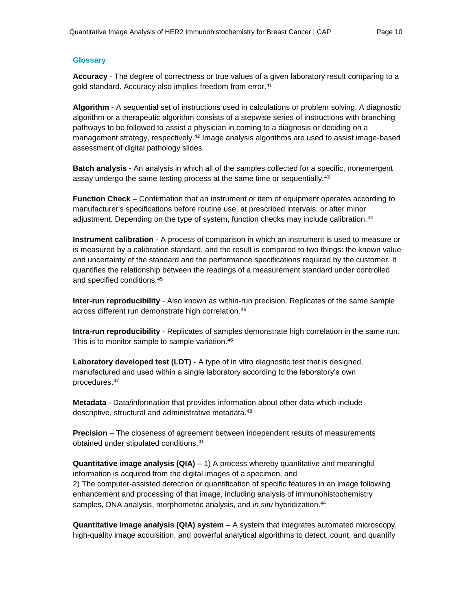# **Glossary**

**Accuracy** - The degree of correctness or true values of a given laboratory result comparing to a gold standard. Accuracy also implies freedom from error.<sup>41</sup>

**Algorithm** - A sequential set of instructions used in calculations or problem solving. A diagnostic algorithm or a therapeutic algorithm consists of a stepwise series of instructions with branching pathways to be followed to assist a physician in coming to a diagnosis or deciding on a management strategy, respectively.<sup>42</sup> Image analysis algorithms are used to assist image-based assessment of digital pathology slides.

**Batch analysis -** An analysis in which all of the samples collected for a specific, nonemergent assay undergo the same testing process at the same time or sequentially.<sup>43</sup>

**Function Check** – Confirmation that an instrument or item of equipment operates according to manufacturer's specifications before routine use, at prescribed intervals, or after minor adjustment. Depending on the type of system, function checks may include calibration.<sup>44</sup>

**Instrument calibration** - A process of comparison in which an instrument is used to measure or is measured by a calibration standard, and the result is compared to two things: the known value and uncertainty of the standard and the performance specifications required by the customer. It quantifies the relationship between the readings of a measurement standard under controlled and specified conditions.<sup>45</sup>

**Inter-run reproducibility** - Also known as within-run precision. Replicates of the same sample across different run demonstrate high correlation.<sup>46</sup>

**Intra-run reproducibility** - Replicates of samples demonstrate high correlation in the same run. This is to monitor sample to sample variation.<sup>46</sup>

**Laboratory developed test (LDT)** - A type of in vitro diagnostic test that is designed, manufactured and used within a single laboratory according to the laboratory's own procedures.<sup>47</sup>

**Metadata** - Data/information that provides information about other data which include descriptive, structural and administrative metadata.<sup>48</sup>

**Precision** – The closeness of agreement between independent results of measurements obtained under stipulated conditions.<sup>41</sup>

**Quantitative image analysis (QIA)** – 1) A process whereby quantitative and meaningful information is acquired from the digital images of a specimen, and 2) The computer-assisted detection or quantification of specific features in an image following enhancement and processing of that image, including analysis of immunohistochemistry samples, DNA analysis, morphometric analysis, and *in situ* hybridization.<sup>44</sup>

**Quantitative image analysis (QIA) system** – A system that integrates automated microscopy, high-quality image acquisition, and powerful analytical algorithms to detect, count, and quantify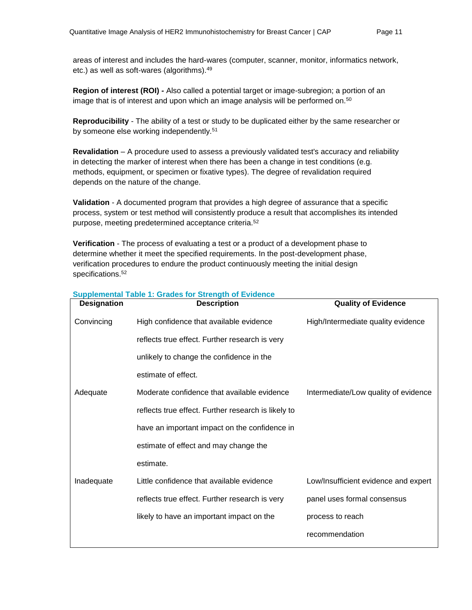**Region of interest (ROI)** *-* Also called a potential target or image-subregion; a portion of an image that is of interest and upon which an image analysis will be performed on.<sup>50</sup>

**Reproducibility** - The ability of a test or study to be duplicated either by the same researcher or by someone else working independently.<sup>51</sup>

**Revalidation** – A procedure used to assess a previously validated test's accuracy and reliability in detecting the marker of interest when there has been a change in test conditions (e.g. methods, equipment, or specimen or fixative types). The degree of revalidation required depends on the nature of the change.

**Validation** - A documented program that provides a high degree of assurance that a specific process, system or test method will consistently produce a result that accomplishes its intended purpose, meeting predetermined acceptance criteria.<sup>52</sup>

**Verification** - The process of evaluating a test or a product of a development phase to determine whether it meet the specified requirements. In the post-development phase, verification procedures to endure the product continuously meeting the initial design specifications.<sup>52</sup>

| <b>Designation</b> | <b>Description</b>                                  | <b>Quality of Evidence</b>           |
|--------------------|-----------------------------------------------------|--------------------------------------|
| Convincing         | High confidence that available evidence             | High/Intermediate quality evidence   |
|                    | reflects true effect. Further research is very      |                                      |
|                    | unlikely to change the confidence in the            |                                      |
|                    | estimate of effect.                                 |                                      |
| Adequate           | Moderate confidence that available evidence         | Intermediate/Low quality of evidence |
|                    | reflects true effect. Further research is likely to |                                      |
|                    | have an important impact on the confidence in       |                                      |
|                    | estimate of effect and may change the               |                                      |
|                    | estimate.                                           |                                      |
| Inadequate         | Little confidence that available evidence           | Low/Insufficient evidence and expert |
|                    | reflects true effect. Further research is very      | panel uses formal consensus          |
|                    | likely to have an important impact on the           | process to reach                     |
|                    |                                                     | recommendation                       |

# **Supplemental Table 1: Grades for Strength of Evidence**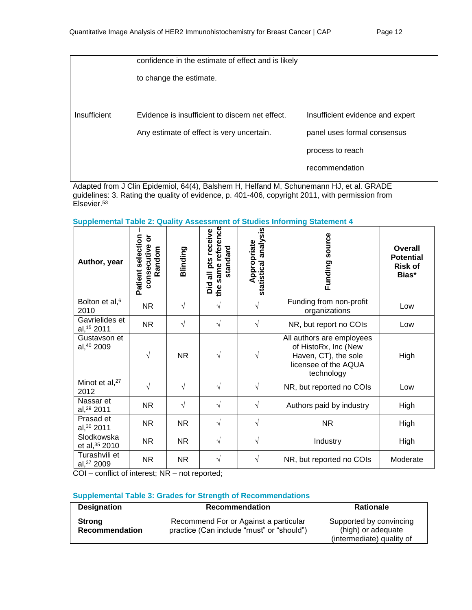|              | confidence in the estimate of effect and is likely |                                  |
|--------------|----------------------------------------------------|----------------------------------|
|              | to change the estimate.                            |                                  |
|              |                                                    |                                  |
| Insufficient | Evidence is insufficient to discern net effect.    | Insufficient evidence and expert |
|              | Any estimate of effect is very uncertain.          | panel uses formal consensus      |
|              |                                                    | process to reach                 |
|              |                                                    | recommendation                   |

Adapted from J Clin Epidemiol, 64(4), Balshem H, Helfand M, Schunemann HJ, et al. GRADE guidelines: 3. Rating the quality of evidence, p. 401-406, copyright 2011, with permission from Elsevier.<sup>53</sup>

| Author, year                        | Patient selection<br>$\overleftarrow{\mathbf{o}}$<br>consecutive<br>Random | Blinding   | same reference<br>Did all pts receive<br>standard<br>the | statistical analysis<br>Appropriate | source<br>Funding                                                                                               | Overall<br><b>Potential</b><br><b>Risk of</b><br>Bias* |
|-------------------------------------|----------------------------------------------------------------------------|------------|----------------------------------------------------------|-------------------------------------|-----------------------------------------------------------------------------------------------------------------|--------------------------------------------------------|
| Bolton et al, <sup>6</sup><br>2010  | <b>NR</b>                                                                  | $\sqrt{ }$ | $\sqrt{}$                                                |                                     | Funding from non-profit<br>organizations                                                                        | Low                                                    |
| Gavrielides et<br>al, 15 2011       | <b>NR</b>                                                                  | $\sqrt{}$  | $\sqrt{}$                                                | $\sqrt{}$                           | NR, but report no COIs                                                                                          | Low                                                    |
| Gustavson et<br>al, 40 2009         | V                                                                          | <b>NR</b>  |                                                          |                                     | All authors are employees<br>of HistoRx, Inc (New<br>Haven, CT), the sole<br>licensee of the AQUA<br>technology | High                                                   |
| Minot et al, <sup>27</sup><br>2012  | $\sqrt{}$                                                                  | $\sqrt{ }$ | $\sqrt{}$                                                | $\sqrt{}$                           | NR, but reported no COIs                                                                                        | Low                                                    |
| Nassar et<br>al, <sup>29</sup> 2011 | <b>NR</b>                                                                  | $\sqrt{}$  | V                                                        | V                                   | Authors paid by industry                                                                                        | High                                                   |
| Prasad et<br>al, 30 2011            | <b>NR</b>                                                                  | <b>NR</b>  | $\sqrt{}$                                                | V                                   | <b>NR</b>                                                                                                       | High                                                   |
| Slodkowska<br>et al, 35 2010        | NR.                                                                        | <b>NR</b>  | √                                                        | V                                   | Industry                                                                                                        | High                                                   |
| Turashvili et<br>al, 37 2009        | NR.                                                                        | <b>NR</b>  | V                                                        | $\sqrt{}$                           | NR, but reported no COIs                                                                                        | Moderate                                               |

COI – conflict of interest; NR – not reported;

# **Supplemental Table 3: Grades for Strength of Recommendations**

| <b>Designation</b>                     | <b>Recommendation</b>                                                              | <b>Rationale</b>                                                           |
|----------------------------------------|------------------------------------------------------------------------------------|----------------------------------------------------------------------------|
| <b>Strong</b><br><b>Recommendation</b> | Recommend For or Against a particular<br>practice (Can include "must" or "should") | Supported by convincing<br>(high) or adequate<br>(intermediate) quality of |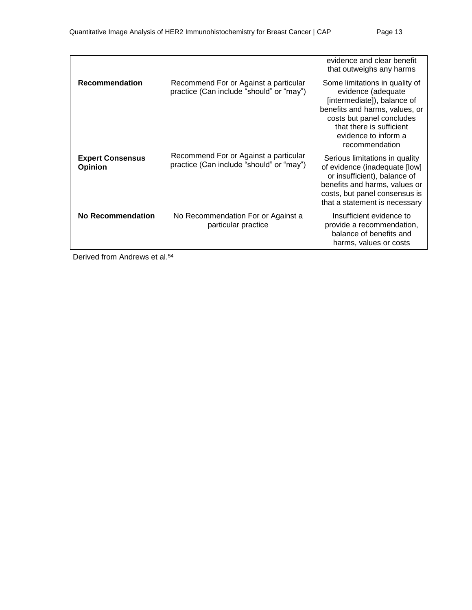|                                           |                                                                                   | evidence and clear benefit<br>that outweighs any harms                                                                                                                                                                   |
|-------------------------------------------|-----------------------------------------------------------------------------------|--------------------------------------------------------------------------------------------------------------------------------------------------------------------------------------------------------------------------|
| <b>Recommendation</b>                     | Recommend For or Against a particular<br>practice (Can include "should" or "may") | Some limitations in quality of<br>evidence (adequate<br>[intermediate]), balance of<br>benefits and harms, values, or<br>costs but panel concludes<br>that there is sufficient<br>evidence to inform a<br>recommendation |
| <b>Expert Consensus</b><br><b>Opinion</b> | Recommend For or Against a particular<br>practice (Can include "should" or "may") | Serious limitations in quality<br>of evidence (inadequate [low]<br>or insufficient), balance of<br>benefits and harms, values or<br>costs, but panel consensus is<br>that a statement is necessary                       |
| No Recommendation                         | No Recommendation For or Against a<br>particular practice                         | Insufficient evidence to<br>provide a recommendation,<br>balance of benefits and<br>harms, values or costs                                                                                                               |

Derived from Andrews et al.<sup>54</sup>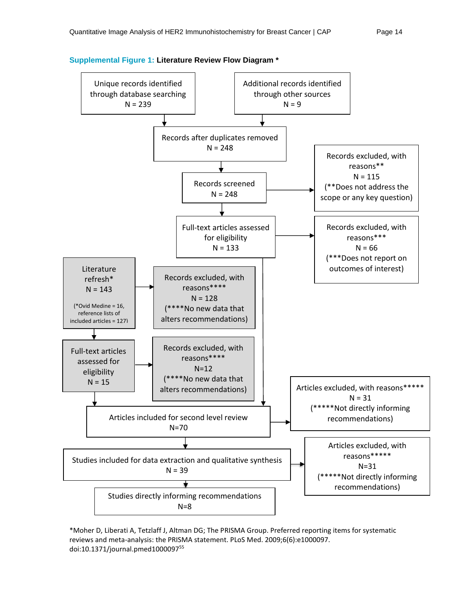

**Supplemental Figure 1: Literature Review Flow Diagram \***

\*Moher D, Liberati A, Tetzlaff J, Altman DG; The PRISMA Group. Preferred reporting items for systematic reviews and meta-analysis: the PRISMA statement. PLoS Med. 2009;6(6):e1000097. doi:10.1371/journal.pmed1000097<sup>55</sup>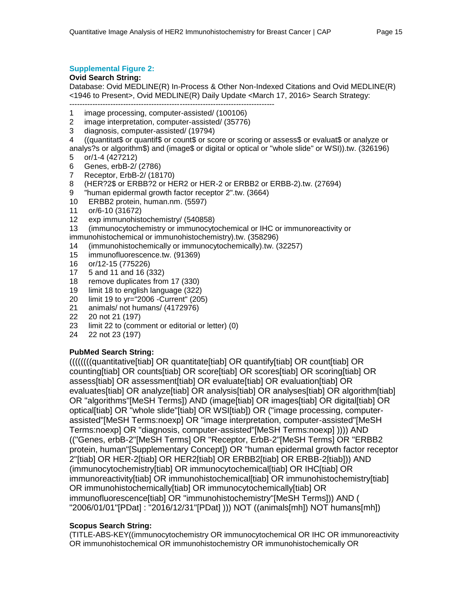# **Supplemental Figure 2:**

#### **Ovid Search String:**

Database: Ovid MEDLINE(R) In-Process & Other Non-Indexed Citations and Ovid MEDLINE(R) <1946 to Present>, Ovid MEDLINE(R) Daily Update <March 17, 2016> Search Strategy:

-------------------------------------------------------------------------------- 1 image processing, computer-assisted/ (100106)

- 2 image interpretation, computer-assisted/ (35776)
- 3 diagnosis, computer-assisted/ (19794)

4 ((quantitat\$ or quantif\$ or count\$ or score or scoring or assess\$ or evaluat\$ or analyze or analys?s or algorithm\$) and (image\$ or digital or optical or "whole slide" or WSI)).tw. (326196)

- 5 or/1-4 (427212)
- 6 Genes, erbB-2/ (2786)
- 7 Receptor, ErbB-2/ (18170)
- 8 (HER?2\$ or ERBB?2 or HER2 or HER-2 or ERBB2 or ERBB-2).tw. (27694)
- 9 "human epidermal growth factor receptor 2".tw. (3664)
- 10 ERBB2 protein, human.nm. (5597)
- 11 or/6-10 (31672)
- 12 exp immunohistochemistry/ (540858)
- 13 (immunocytochemistry or immunocytochemical or IHC or immunoreactivity or
- immunohistochemical or immunohistochemistry).tw. (358296)
- 14 (immunohistochemically or immunocytochemically).tw. (32257)
- 15 immunofluorescence.tw. (91369)
- 16 or/12-15 (775226)
- 17 5 and 11 and 16 (332)
- 18 remove duplicates from 17 (330)
- 19 limit 18 to english language (322)
- 20 limit 19 to yr="2006 -Current" (205)
- 21 animals/ not humans/ (4172976)
- 22 20 not 21 (197)
- 23 limit 22 to (comment or editorial or letter) (0)
- 24 22 not 23 (197)

# **PubMed Search String:**

((((((((quantitative[tiab] OR quantitate[tiab] OR quantify[tiab] OR count[tiab] OR counting[tiab] OR counts[tiab] OR score[tiab] OR scores[tiab] OR scoring[tiab] OR assess[tiab] OR assessment[tiab] OR evaluate[tiab] OR evaluation[tiab] OR evaluates[tiab] OR analyze[tiab] OR analysis[tiab] OR analyses[tiab] OR algorithm[tiab] OR "algorithms"[MeSH Terms]) AND (image[tiab] OR images[tiab] OR digital[tiab] OR optical[tiab] OR "whole slide"[tiab] OR WSI[tiab]) OR ("image processing, computerassisted"[MeSH Terms:noexp] OR "image interpretation, computer-assisted"[MeSH Terms:noexp] OR "diagnosis, computer-assisted"[MeSH Terms:noexp] )))) AND (("Genes, erbB-2"[MeSH Terms] OR "Receptor, ErbB-2"[MeSH Terms] OR "ERBB2 protein, human"[Supplementary Concept]) OR "human epidermal growth factor receptor 2"[tiab] OR HER-2[tiab] OR HER2[tiab] OR ERBB2[tiab] OR ERBB-2[tiab])) AND (immunocytochemistry[tiab] OR immunocytochemical[tiab] OR IHC[tiab] OR immunoreactivity[tiab] OR immunohistochemical[tiab] OR immunohistochemistry[tiab] OR immunohistochemically[tiab] OR immunocytochemically[tiab] OR immunofluorescence[tiab] OR "immunohistochemistry"[MeSH Terms])) AND ( "2006/01/01"[PDat] : "2016/12/31"[PDat] ))) NOT ((animals[mh]) NOT humans[mh])

# **Scopus Search String:**

(TITLE-ABS-KEY((immunocytochemistry OR immunocytochemical OR IHC OR immunoreactivity OR immunohistochemical OR immunohistochemistry OR immunohistochemically OR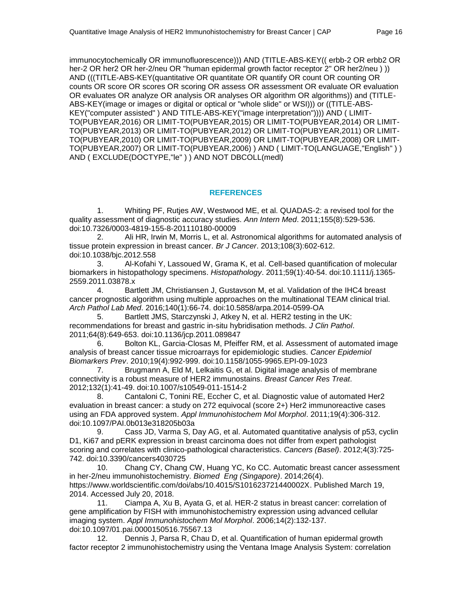immunocytochemically OR immunofluorescence))) AND (TITLE-ABS-KEY(( erbb-2 OR erbb2 OR her-2 OR her2 OR her-2/neu OR "human epidermal growth factor receptor 2" OR her2/neu ) )) AND (((TITLE-ABS-KEY(quantitative OR quantitate OR quantify OR count OR counting OR counts OR score OR scores OR scoring OR assess OR assessment OR evaluate OR evaluation OR evaluates OR analyze OR analysis OR analyses OR algorithm OR algorithms)) and (TITLE-ABS-KEY(image or images or digital or optical or "whole slide" or WSI))) or ((TITLE-ABS-KEY("computer assisted" ) AND TITLE-ABS-KEY("image interpretation")))) AND ( LIMIT-TO(PUBYEAR,2016) OR LIMIT-TO(PUBYEAR,2015) OR LIMIT-TO(PUBYEAR,2014) OR LIMIT-TO(PUBYEAR,2013) OR LIMIT-TO(PUBYEAR,2012) OR LIMIT-TO(PUBYEAR,2011) OR LIMIT-TO(PUBYEAR,2010) OR LIMIT-TO(PUBYEAR,2009) OR LIMIT-TO(PUBYEAR,2008) OR LIMIT-TO(PUBYEAR,2007) OR LIMIT-TO(PUBYEAR,2006) ) AND ( LIMIT-TO(LANGUAGE,"English" ) ) AND ( EXCLUDE(DOCTYPE,"le" ) ) AND NOT DBCOLL(medl)

# **REFERENCES**

1. Whiting PF, Rutjes AW, Westwood ME, et al. QUADAS-2: a revised tool for the quality assessment of diagnostic accuracy studies. *Ann Intern Med*. 2011;155(8):529-536. doi:10.7326/0003-4819-155-8-201110180-00009

2. Ali HR, Irwin M, Morris L, et al. Astronomical algorithms for automated analysis of tissue protein expression in breast cancer. *Br J Cancer*. 2013;108(3):602-612. doi:10.1038/bjc.2012.558

3. Al-Kofahi Y, Lassoued W, Grama K, et al. Cell-based quantification of molecular biomarkers in histopathology specimens. *Histopathology*. 2011;59(1):40-54. doi:10.1111/j.1365- 2559.2011.03878.x

4. Bartlett JM, Christiansen J, Gustavson M, et al. Validation of the IHC4 breast cancer prognostic algorithm using multiple approaches on the multinational TEAM clinical trial. *Arch Pathol Lab Med*. 2016;140(1):66-74. doi:10.5858/arpa.2014-0599-OA

5. Bartlett JMS, Starczynski J, Atkey N, et al. HER2 testing in the UK: recommendations for breast and gastric in-situ hybridisation methods. *J Clin Pathol*. 2011;64(8):649-653. doi:10.1136/jcp.2011.089847

6. Bolton KL, Garcia-Closas M, Pfeiffer RM, et al. Assessment of automated image analysis of breast cancer tissue microarrays for epidemiologic studies. *Cancer Epidemiol Biomarkers Prev*. 2010;19(4):992-999. doi:10.1158/1055-9965.EPI-09-1023

7. Brugmann A, Eld M, Lelkaitis G, et al. Digital image analysis of membrane connectivity is a robust measure of HER2 immunostains. *Breast Cancer Res Treat*. 2012;132(1):41-49. doi:10.1007/s10549-011-1514-2

8. Cantaloni C, Tonini RE, Eccher C, et al. Diagnostic value of automated Her2 evaluation in breast cancer: a study on 272 equivocal (score 2+) Her2 immunoreactive cases using an FDA approved system. *Appl Immunohistochem Mol Morphol*. 2011;19(4):306-312. doi:10.1097/PAI.0b013e318205b03a

9. Cass JD, Varma S, Day AG, et al. Automated quantitative analysis of p53, cyclin D1, Ki67 and pERK expression in breast carcinoma does not differ from expert pathologist scoring and correlates with clinico-pathological characteristics. *Cancers (Basel)*. 2012;4(3):725- 742. doi:10.3390/cancers4030725

10. Chang CY, Chang CW, Huang YC, Ko CC. Automatic breast cancer assessment in her-2/neu immunohistochemistry. *Biomed Eng (Singapore)*. 2014;26(4). https://www.worldscientific.com/doi/abs/10.4015/S101623721440002X. Published March 19, 2014. Accessed July 20, 2018.

11. Ciampa A, Xu B, Ayata G, et al. HER-2 status in breast cancer: correlation of gene amplification by FISH with immunohistochemistry expression using advanced cellular imaging system. *Appl Immunohistochem Mol Morphol*. 2006;14(2):132-137. doi:10.1097/01.pai.0000150516.75567.13

12. Dennis J, Parsa R, Chau D, et al. Quantification of human epidermal growth factor receptor 2 immunohistochemistry using the Ventana Image Analysis System: correlation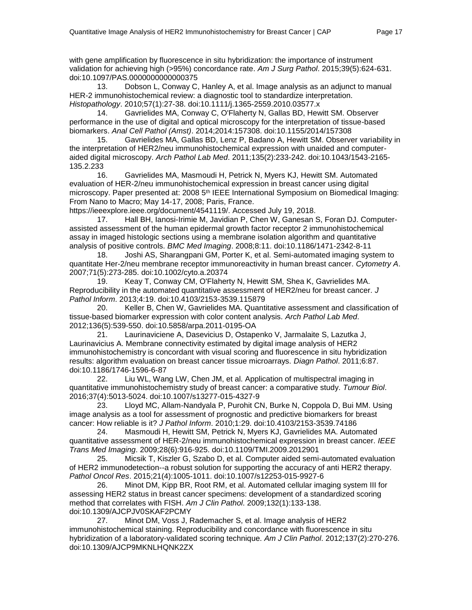with gene amplification by fluorescence in situ hybridization: the importance of instrument validation for achieving high (>95%) concordance rate. *Am J Surg Pathol*. 2015;39(5):624-631. doi:10.1097/PAS.0000000000000375

13. Dobson L, Conway C, Hanley A, et al. Image analysis as an adjunct to manual HER-2 immunohistochemical review: a diagnostic tool to standardize interpretation. *Histopathology*. 2010;57(1):27-38. doi:10.1111/j.1365-2559.2010.03577.x

14. Gavrielides MA, Conway C, O'Flaherty N, Gallas BD, Hewitt SM. Observer performance in the use of digital and optical microscopy for the interpretation of tissue-based biomarkers. *Anal Cell Pathol (Amst)*. 2014;2014:157308. doi:10.1155/2014/157308

15. Gavrielides MA, Gallas BD, Lenz P, Badano A, Hewitt SM. Observer variability in the interpretation of HER2/neu immunohistochemical expression with unaided and computeraided digital microscopy. *Arch Pathol Lab Med*. 2011;135(2):233-242. doi:10.1043/1543-2165- 135.2.233

16. Gavrielides MA, Masmoudi H, Petrick N, Myers KJ, Hewitt SM. Automated evaluation of HER-2/neu immunohistochemical expression in breast cancer using digital microscopy. Paper presented at: 2008 5<sup>th</sup> IEEE International Symposium on Biomedical Imaging: From Nano to Macro; May 14-17, 2008; Paris, France.

https://ieeexplore.ieee.org/document/4541119/. Accessed July 19, 2018.

17. Hall BH, Ianosi-Irimie M, Javidian P, Chen W, Ganesan S, Foran DJ. Computerassisted assessment of the human epidermal growth factor receptor 2 immunohistochemical assay in imaged histologic sections using a membrane isolation algorithm and quantitative analysis of positive controls. *BMC Med Imaging*. 2008;8:11. doi:10.1186/1471-2342-8-11

18. Joshi AS, Sharangpani GM, Porter K, et al. Semi-automated imaging system to quantitate Her-2/neu membrane receptor immunoreactivity in human breast cancer. *Cytometry A*. 2007;71(5):273-285. doi:10.1002/cyto.a.20374

19. Keay T, Conway CM, O'Flaherty N, Hewitt SM, Shea K, Gavrielides MA. Reproducibility in the automated quantitative assessment of HER2/neu for breast cancer. *J Pathol Inform*. 2013;4:19. doi:10.4103/2153-3539.115879

20. Keller B, Chen W, Gavrielides MA. Quantitative assessment and classification of tissue-based biomarker expression with color content analysis. *Arch Pathol Lab Med*. 2012;136(5):539-550. doi:10.5858/arpa.2011-0195-OA

21. Laurinaviciene A, Dasevicius D, Ostapenko V, Jarmalaite S, Lazutka J, Laurinavicius A. Membrane connectivity estimated by digital image analysis of HER2 immunohistochemistry is concordant with visual scoring and fluorescence in situ hybridization results: algorithm evaluation on breast cancer tissue microarrays. *Diagn Pathol*. 2011;6:87. doi:10.1186/1746-1596-6-87

22. Liu WL, Wang LW, Chen JM, et al. Application of multispectral imaging in quantitative immunohistochemistry study of breast cancer: a comparative study. *Tumour Biol*. 2016;37(4):5013-5024. doi:10.1007/s13277-015-4327-9

23. Lloyd MC, Allam-Nandyala P, Purohit CN, Burke N, Coppola D, Bui MM. Using image analysis as a tool for assessment of prognostic and predictive biomarkers for breast cancer: How reliable is it? *J Pathol Inform*. 2010;1:29. doi:10.4103/2153-3539.74186

24. Masmoudi H, Hewitt SM, Petrick N, Myers KJ, Gavrielides MA. Automated quantitative assessment of HER-2/neu immunohistochemical expression in breast cancer. *IEEE Trans Med Imaging*. 2009;28(6):916-925. doi:10.1109/TMI.2009.2012901

25. Micsik T, Kiszler G, Szabo D, et al. Computer aided semi-automated evaluation of HER2 immunodetection--a robust solution for supporting the accuracy of anti HER2 therapy. *Pathol Oncol Res*. 2015;21(4):1005-1011. doi:10.1007/s12253-015-9927-6

26. Minot DM, Kipp BR, Root RM, et al. Automated cellular imaging system III for assessing HER2 status in breast cancer specimens: development of a standardized scoring method that correlates with FISH. *Am J Clin Pathol*. 2009;132(1):133-138. doi:10.1309/AJCPJV0SKAF2PCMY

27. Minot DM, Voss J, Rademacher S, et al. Image analysis of HER2 immunohistochemical staining. Reproducibility and concordance with fluorescence in situ hybridization of a laboratory-validated scoring technique. *Am J Clin Pathol*. 2012;137(2):270-276. doi:10.1309/AJCP9MKNLHQNK2ZX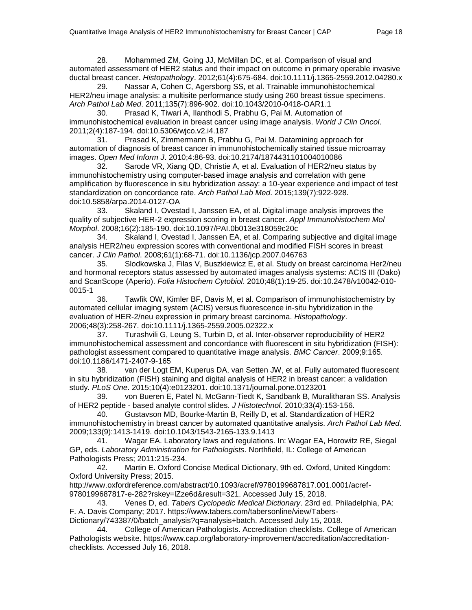28. Mohammed ZM, Going JJ, McMillan DC, et al. Comparison of visual and automated assessment of HER2 status and their impact on outcome in primary operable invasive ductal breast cancer. *Histopathology*. 2012;61(4):675-684. doi:10.1111/j.1365-2559.2012.04280.x

29. Nassar A, Cohen C, Agersborg SS, et al. Trainable immunohistochemical HER2/neu image analysis: a multisite performance study using 260 breast tissue specimens. *Arch Pathol Lab Med*. 2011;135(7):896-902. doi:10.1043/2010-0418-OAR1.1

30. Prasad K, Tiwari A, Ilanthodi S, Prabhu G, Pai M. Automation of immunohistochemical evaluation in breast cancer using image analysis. *World J Clin Oncol*. 2011;2(4):187-194. doi:10.5306/wjco.v2.i4.187

31. Prasad K, Zimmermann B, Prabhu G, Pai M. Datamining approach for automation of diagnosis of breast cancer in immunohistochemically stained tissue microarray images. *Open Med Inform J*. 2010;4:86-93. doi:10.2174/1874431101004010086

32. Sarode VR, Xiang QD, Christie A, et al. Evaluation of HER2/neu status by immunohistochemistry using computer-based image analysis and correlation with gene amplification by fluorescence in situ hybridization assay: a 10-year experience and impact of test standardization on concordance rate. *Arch Pathol Lab Med*. 2015;139(7):922-928. doi:10.5858/arpa.2014-0127-OA

33. Skaland I, Ovestad I, Janssen EA, et al. Digital image analysis improves the quality of subjective HER-2 expression scoring in breast cancer. *Appl Immunohistochem Mol Morphol*. 2008;16(2):185-190. doi:10.1097/PAI.0b013e318059c20c

34. Skaland I, Ovestad I, Janssen EA, et al. Comparing subjective and digital image analysis HER2/neu expression scores with conventional and modified FISH scores in breast cancer. *J Clin Pathol*. 2008;61(1):68-71. doi:10.1136/jcp.2007.046763

35. Slodkowska J, Filas V, Buszkiewicz E, et al. Study on breast carcinoma Her2/neu and hormonal receptors status assessed by automated images analysis systems: ACIS III (Dako) and ScanScope (Aperio). *Folia Histochem Cytobiol*. 2010;48(1):19-25. doi:10.2478/v10042-010- 0015-1

36. Tawfik OW, Kimler BF, Davis M, et al. Comparison of immunohistochemistry by automated cellular imaging system (ACIS) versus fluorescence in-situ hybridization in the evaluation of HER-2/neu expression in primary breast carcinoma. *Histopathology*. 2006;48(3):258-267. doi:10.1111/j.1365-2559.2005.02322.x

37. Turashvili G, Leung S, Turbin D, et al. Inter-observer reproducibility of HER2 immunohistochemical assessment and concordance with fluorescent in situ hybridization (FISH): pathologist assessment compared to quantitative image analysis. *BMC Cancer*. 2009;9:165. doi:10.1186/1471-2407-9-165

38. van der Logt EM, Kuperus DA, van Setten JW, et al. Fully automated fluorescent in situ hybridization (FISH) staining and digital analysis of HER2 in breast cancer: a validation study. *PLoS One*. 2015;10(4):e0123201. doi:10.1371/journal.pone.0123201

39. von Bueren E, Patel N, McGann-Tiedt K, Sandbank B, Muralitharan SS. Analysis of HER2 peptide - based analyte control slides. *J Histotechnol*. 2010;33(4):153-156.

40. Gustavson MD, Bourke-Martin B, Reilly D, et al. Standardization of HER2 immunohistochemistry in breast cancer by automated quantitative analysis. *Arch Pathol Lab Med*. 2009;133(9):1413-1419. doi:10.1043/1543-2165-133.9.1413

41. Wagar EA. Laboratory laws and regulations. In: Wagar EA, Horowitz RE, Siegal GP, eds. *Laboratory Administration for Pathologists*. Northfield, IL: College of American Pathologists Press; 2011:215-234.

42. Martin E. Oxford Concise Medical Dictionary, 9th ed. Oxford, United Kingdom: Oxford University Press; 2015.

http://www.oxfordreference.com/abstract/10.1093/acref/9780199687817.001.0001/acref-9780199687817-e-282?rskey=lZze6d&result=321. Accessed July 15, 2018.

43. Venes D, ed. *Tabers Cyclopedic Medical Dictionary*. 23rd ed. Philadelphia, PA: F. A. Davis Company; 2017. https://www.tabers.com/tabersonline/view/Tabers-

Dictionary/743387/0/batch\_analysis?q=analysis+batch. Accessed July 15, 2018. 44. College of American Pathologists. Accreditation checklists. College of American Pathologists website. https://www.cap.org/laboratory-improvement/accreditation/accreditationchecklists. Accessed July 16, 2018.